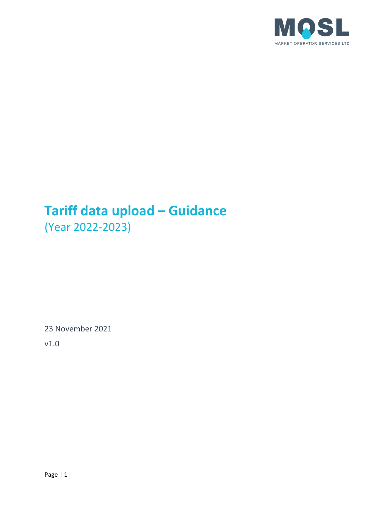

# **Tariff data upload – Guidance** (Year 2022-2023)

23 November 2021

v1.0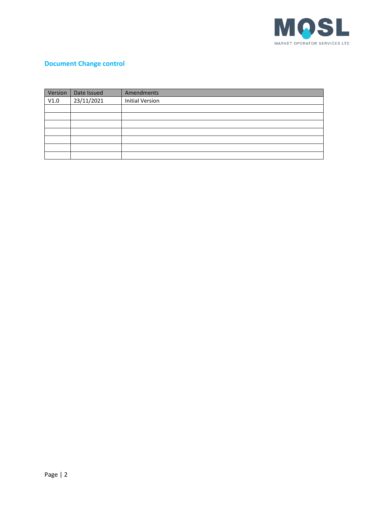

# **Document Change control**

| Version | Date Issued | Amendments             |
|---------|-------------|------------------------|
| V1.0    | 23/11/2021  | <b>Initial Version</b> |
|         |             |                        |
|         |             |                        |
|         |             |                        |
|         |             |                        |
|         |             |                        |
|         |             |                        |
|         |             |                        |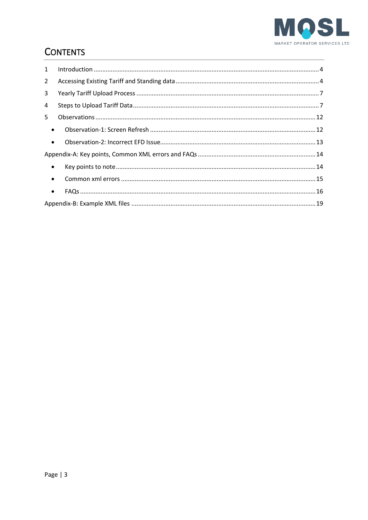

# **CONTENTS**

| $\mathbf{1}$   |  |
|----------------|--|
| $\overline{2}$ |  |
| 3              |  |
| 4              |  |
| 5.             |  |
| $\bullet$      |  |
| $\bullet$      |  |
|                |  |
| $\bullet$      |  |
| $\bullet$      |  |
| $\bullet$      |  |
|                |  |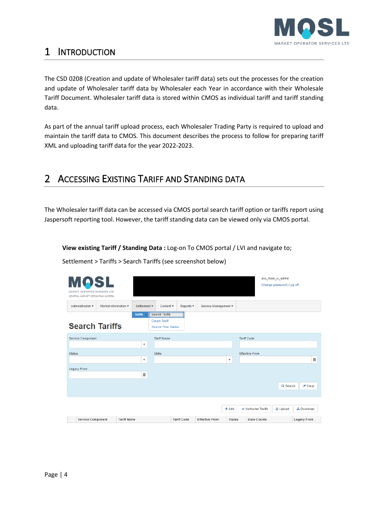

# <span id="page-3-0"></span>1 INTRODUCTION

The CSD 0208 (Creation and update of Wholesaler tariff data) sets out the processes for the creation and update of Wholesaler tariff data by Wholesaler each Year in accordance with their Wholesale Tariff Document. Wholesaler tariff data is stored within CMOS as individual tariff and tariff standing data.

As part of the annual tariff upload process, each Wholesaler Trading Party is required to upload and maintain the tariff data to CMOS. This document describes the process to follow for preparing tariff XML and uploading tariff data for the year 2022-2023.

# <span id="page-3-1"></span>2 ACCESSING EXISTING TARIFF AND STANDING DATA

The Wholesaler tariff data can be accessed via CMOS portal search tariff option or tariffs report using Jaspersoft reporting tool. However, the tariff standing data can be viewed only via CMOS portal.

**View existing Tariff / Standing Data :** Log-on To CMOS portal / LVI and navigate to;

Settlement > Tariffs > Search Tariffs (see screenshot below)

| <b>MOSL</b><br>MARKET OPERATOR SERVICES LTD<br>CENTRAL MARKET OPERATING SYSTEM |                      |                    |                           |                                                                            |                    |                       |                           |                       | acc_mosl_w_admin<br>Change password   Log off |                    |   |
|--------------------------------------------------------------------------------|----------------------|--------------------|---------------------------|----------------------------------------------------------------------------|--------------------|-----------------------|---------------------------|-----------------------|-----------------------------------------------|--------------------|---|
| Administration v                                                               | Market information v |                    | Settlement v              | Content v                                                                  | Reports v          | Service Management v  |                           |                       |                                               |                    |   |
| <b>Search Tariffs</b>                                                          |                      |                    | Tariffs >                 | <b>Search Tariffs</b><br><b>Create Tariff</b><br><b>Search Time Tables</b> |                    |                       |                           |                       |                                               |                    |   |
| <b>Service Component</b>                                                       |                      |                    | $\boldsymbol{\mathrm{v}}$ | <b>Tariff Name</b>                                                         |                    |                       |                           | <b>Tariff Code</b>    |                                               |                    |   |
| <b>Status</b>                                                                  |                      |                    | $\boldsymbol{\mathrm{v}}$ | <b>State</b>                                                               |                    |                       | $\boldsymbol{\mathrm{v}}$ | <b>Effective From</b> |                                               |                    | 圓 |
| <b>Legacy From</b>                                                             |                      |                    | 圍                         |                                                                            |                    |                       |                           |                       |                                               |                    |   |
|                                                                                |                      |                    |                           |                                                                            |                    |                       |                           |                       | Q Search                                      | $\mathscr F$ Clear |   |
|                                                                                |                      |                    |                           |                                                                            |                    |                       | $+$ Add                   | ✔ Authorise Tariffs   | 土 Upload                                      | <b>上</b> Download  |   |
| <b>Service Component</b>                                                       |                      | <b>Tariff Name</b> |                           |                                                                            | <b>Tariff Code</b> | <b>Effective From</b> | <b>Status</b>             | <b>State Counts</b>   |                                               | <b>Legacy From</b> |   |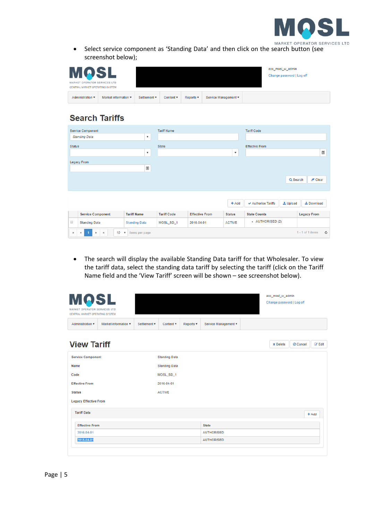

• Select service component as 'Standing Data' and then click on the search button (see screenshot below);

| <b>MOSL</b><br>MARKET OPERATOR SERVICES LTD<br>CENTRAL MARKET OPERATING SYSTEM |                                         |              |                               |                |                      | acc_mosl_w_admin<br>Change password   Log off |
|--------------------------------------------------------------------------------|-----------------------------------------|--------------|-------------------------------|----------------|----------------------|-----------------------------------------------|
| Administration ▼                                                               | Market information $\blacktriangledown$ | Settlement v | Content $\mathbf{\mathbf{v}}$ | Reports $\Psi$ | Service Management ▼ |                                               |

# **Search Tariffs**

| Service Component                                         |                           | <b>Tariff Name</b> |                       |                    | <b>Tariff Code</b>                   |                                      |
|-----------------------------------------------------------|---------------------------|--------------------|-----------------------|--------------------|--------------------------------------|--------------------------------------|
| <b>Standing Data</b>                                      | $\pmb{\mathrm{v}}$        |                    |                       |                    |                                      |                                      |
| <b>Status</b>                                             |                           | State              |                       |                    | <b>Effective From</b>                |                                      |
|                                                           | $\boldsymbol{\mathrm{v}}$ |                    |                       | $\pmb{\mathrm{v}}$ |                                      | Ξ                                    |
| <b>Legacy From</b>                                        |                           |                    |                       |                    |                                      |                                      |
|                                                           | 圍                         |                    |                       |                    |                                      |                                      |
|                                                           |                           |                    |                       |                    | Q Search                             | $\mathscr F$ Clear                   |
|                                                           |                           |                    |                       | $+$ Add            | $\vee$ Authorise Tariffs<br>土 Upload | 土 Download                           |
| <b>Service Component</b>                                  | <b>Tariff Name</b>        | <b>Tariff Code</b> | <b>Effective From</b> | <b>Status</b>      | <b>State Counts</b>                  | <b>Legacy From</b>                   |
| $\qquad \qquad \Box$<br><b>Standing Data</b>              | <b>Standing Data</b>      | MOSL_SD_1          | 2016-04-01            | <b>ACTIVE</b>      | - AUTHORISED (2)                     |                                      |
| 10<br>$\mathbf{H}$<br>н<br>$\boldsymbol{\mathrm{v}}$<br>ь | items per page            |                    |                       |                    |                                      | $1 - 1$ of 1 items<br>$\mathfrak{c}$ |

• The search will display the available Standing Data tariff for that Wholesaler. To view the tariff data, select the standing data tariff by selecting the tariff (click on the Tariff Name field and the 'View Tariff' screen will be shown – see screenshot below).

| <b>MOSL</b><br>MARKET OPERATOR SERVICES LTD<br>CENTRAL MARKET OPERATING SYSTEM |                      |                     |                      |           |                      | acc_mosl_w_admin<br>Change password   Log off |          |               |
|--------------------------------------------------------------------------------|----------------------|---------------------|----------------------|-----------|----------------------|-----------------------------------------------|----------|---------------|
| Administration <b>v</b>                                                        | Market information v | Settlement <b>v</b> | Content <b>v</b>     | Reports v | Service Management v |                                               |          |               |
| <b>View Tariff</b>                                                             |                      |                     |                      |           |                      | <b>x</b> Delete                               | ⊘ Cancel | <b>Z</b> Edit |
| <b>Service Component</b>                                                       |                      |                     | <b>Standing Data</b> |           |                      |                                               |          |               |
| Name                                                                           |                      |                     | <b>Standing Data</b> |           |                      |                                               |          |               |
| Code                                                                           |                      |                     | MOSL_SD_1            |           |                      |                                               |          |               |
| <b>Effective From</b>                                                          |                      |                     | 2016-04-01           |           |                      |                                               |          |               |
| <b>Status</b>                                                                  |                      |                     | <b>ACTIVE</b>        |           |                      |                                               |          |               |
| <b>Legacy Effective From</b>                                                   |                      |                     |                      |           |                      |                                               |          |               |
| <b>Tariff Data</b>                                                             |                      |                     |                      |           |                      |                                               |          | $+$ Add       |
| <b>Effective From</b>                                                          |                      |                     |                      |           | <b>State</b>         |                                               |          |               |
| 2016-04-01                                                                     |                      |                     |                      |           | <b>AUTHORISED</b>    |                                               |          |               |
| 2018-04-01                                                                     |                      |                     |                      |           | <b>AUTHORISED</b>    |                                               |          |               |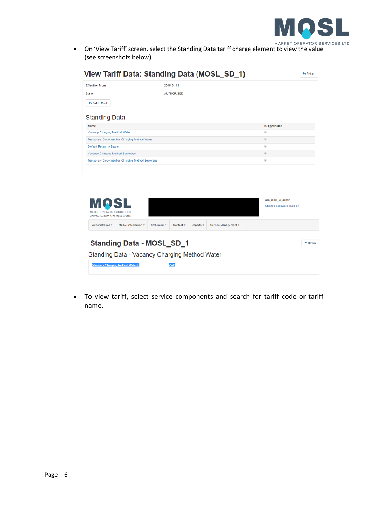

• On 'View Tariff' screen, select the Standing Data tariff charge element to view the value (see screenshots below).

| View Tariff Data: Standing Data (MOSL_SD_1)          |                   |                                               | Return |
|------------------------------------------------------|-------------------|-----------------------------------------------|--------|
| <b>Effective From</b>                                | 2018-04-01        |                                               |        |
| <b>State</b>                                         | <b>AUTHORISED</b> |                                               |        |
| Set to Draft                                         |                   |                                               |        |
| <b>Standing Data</b>                                 |                   |                                               |        |
| Name                                                 |                   | <b>Is Applicable</b>                          |        |
| Vacancy Charging Method Water                        |                   | $\mathcal{A}$                                 |        |
| <b>Temporary Disconnection Charging Method Water</b> |                   | $\begin{array}{c} 1 & 0 \\ 0 & 0 \end{array}$ |        |
| <b>Default Return to Sewer</b>                       |                   | $\mathcal{A}$                                 |        |
| Vacancy Charging Method Sewerage                     |                   | $\left\vert \varphi \right\rangle$            |        |
| Temporary Disconnection Charging Method Sewerage     |                   | $\mathcal{A}$                                 |        |
|                                                      |                   |                                               |        |



• To view tariff, select service components and search for tariff code or tariff name.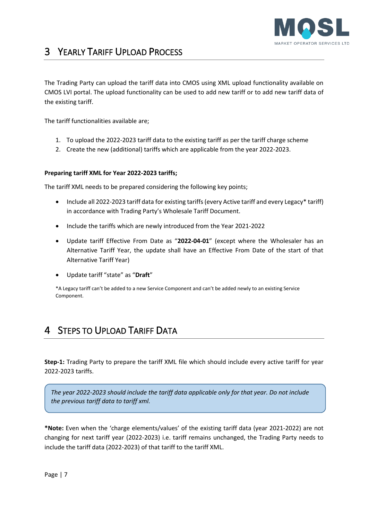

# <span id="page-6-0"></span>3 YEARLY TARIFF UPLOAD PROCESS

The Trading Party can upload the tariff data into CMOS using XML upload functionality available on CMOS LVI portal. The upload functionality can be used to add new tariff or to add new tariff data of the existing tariff.

The tariff functionalities available are;

- 1. To upload the 2022-2023 tariff data to the existing tariff as per the tariff charge scheme
- 2. Create the new (additional) tariffs which are applicable from the year 2022-2023.

#### **Preparing tariff XML for Year 2022-2023 tariffs;**

The tariff XML needs to be prepared considering the following key points;

- Include all 2022-2023 tariff data for existing tariffs (every Active tariff and every Legacy\* tariff) in accordance with Trading Party's Wholesale Tariff Document.
- Include the tariffs which are newly introduced from the Year 2021-2022
- Update tariff Effective From Date as "**2022-04-01**" (except where the Wholesaler has an Alternative Tariff Year, the update shall have an Effective From Date of the start of that Alternative Tariff Year)
- Update tariff "state" as "**Draft**"

\*A Legacy tariff can't be added to a new Service Component and can't be added newly to an existing Service Component.

# <span id="page-6-1"></span>4 STEPS TO UPLOAD TARIFF DATA

**Step-1:** Trading Party to prepare the tariff XML file which should include every active tariff for year 2022-2023 tariffs.

*The year 2022-2023 should include the tariff data applicable only for that year. Do not include the previous tariff data to tariff xml.* 

**\*Note:** Even when the 'charge elements/values' of the existing tariff data (year 2021-2022) are not changing for next tariff year (2022-2023) i.e. tariff remains unchanged, the Trading Party needs to include the tariff data (2022-2023) of that tariff to the tariff XML.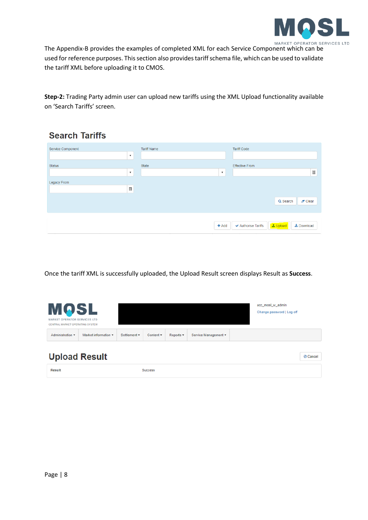

The Appendix-B provides the examples of completed XML for each Service Component which can be used for reference purposes. This section also provides tariff schema file, which can be used to validate the tariff XML before uploading it to CMOS.

**Step-2:** Trading Party admin user can upload new tariffs using the XML Upload functionality available on 'Search Tariffs' screen.

# **Search Tariffs**

| State | <b>Effective From</b>                                |
|-------|------------------------------------------------------|
|       | 圍                                                    |
|       |                                                      |
|       |                                                      |
|       | Q Search<br>$Z$ Clear                                |
|       | L Upload<br><b>±</b> Download<br>✔ Authorise Tariffs |
|       | $\boldsymbol{\mathrm{v}}$<br>$+$ Add                 |

Once the tariff XML is successfully uploaded, the Upload Result screen displays Result as **Success**.

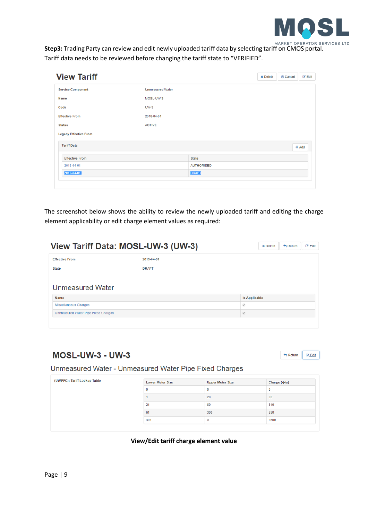

**Step3:** Trading Party can review and edit newly uploaded tariff data by selecting tariff on CMOS portal. Tariff data needs to be reviewed before changing the tariff state to "VERIFIED".

| <b>View Tariff</b>           |                         |                   | <b>×</b> Delete | ⊘ Cancel | <b>B</b> Edit |
|------------------------------|-------------------------|-------------------|-----------------|----------|---------------|
| <b>Service Component</b>     | <b>Unmeasured Water</b> |                   |                 |          |               |
| Name                         | MOSL-UW-3               |                   |                 |          |               |
| Code                         | <b>UW-3</b>             |                   |                 |          |               |
| <b>Effective From</b>        | 2018-04-01              |                   |                 |          |               |
| <b>Status</b>                | <b>ACTIVE</b>           |                   |                 |          |               |
| <b>Legacy Effective From</b> |                         |                   |                 |          |               |
| <b>Tariff Data</b>           |                         |                   |                 |          | $+$ Add       |
| <b>Effective From</b>        |                         | <b>State</b>      |                 |          |               |
| 2018-04-01                   |                         | <b>AUTHORISED</b> |                 |          |               |
| 2019-04-01                   |                         | <b>DRAFT</b>      |                 |          |               |

The screenshot below shows the ability to review the newly uploaded tariff and editing the charge element applicability or edit charge element values as required:

|                                            | View Tariff Data: MOSL-UW-3 (UW-3) |                      | <b>x</b> Delete | $\leftarrow$ Return | <b>Z</b> Edit |
|--------------------------------------------|------------------------------------|----------------------|-----------------|---------------------|---------------|
| <b>Effective From</b>                      | 2019-04-01                         |                      |                 |                     |               |
| <b>State</b>                               | <b>DRAFT</b>                       |                      |                 |                     |               |
| <b>Unmeasured Water</b>                    |                                    |                      |                 |                     |               |
|                                            |                                    |                      |                 |                     |               |
| Name                                       |                                    | <b>Is Applicable</b> |                 |                     |               |
| <b>Miscellaneous Charges</b>               |                                    | ø                    |                 |                     |               |
| <b>Unmeasured Water Pipe Fixed Charges</b> |                                    | $\overline{\omega}$  |                 |                     |               |

# **MOSL-UW-3 - UW-3**



Unmeasured Water - Unmeasured Water Pipe Fixed Charges

| (UWPFC): Tariff Lookup Table | <b>Lower Meter Size</b> | <b>Upper Meter Size</b> | Charge $(\hat{\mathbf{\Theta}}/\mathbf{a})$ |
|------------------------------|-------------------------|-------------------------|---------------------------------------------|
|                              | 0                       | 0                       | 0                                           |
|                              |                         | 20                      | 55                                          |
|                              | 21                      | 60                      | 310                                         |
|                              | 61                      | 300                     | 550                                         |
|                              | 301                     | $\infty$                | 2600                                        |

#### **View/Edit tariff charge element value**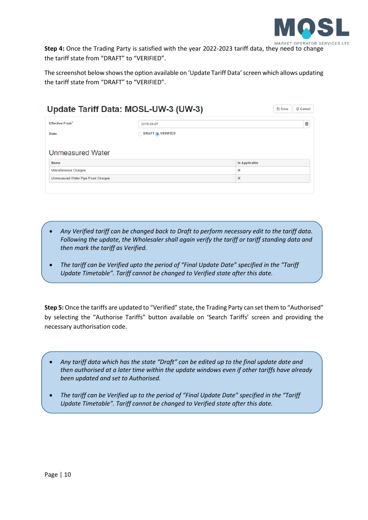

**Step 4:** Once the Trading Party is satisfied with the year 2022-2023 tariff data, they need to change the tariff state from "DRAFT" to "VERIFIED".

The screenshot below showsthe option available on 'Update Tariff Data' screen which allows updating the tariff state from "DRAFT" to "VERIFIED".

|                                            | Update Tariff Data: MOSL-UW-3 (UW-3) |                          | <b>图 Save</b> | ⊘ Cancel |
|--------------------------------------------|--------------------------------------|--------------------------|---------------|----------|
| <b>Effective From*</b>                     | 2019-04-01                           |                          |               | 圓        |
| <b>State</b>                               | <b>DRAFT</b> OVERIFIED               |                          |               |          |
| <b>Unmeasured Water</b>                    |                                      |                          |               |          |
| Name                                       |                                      | <b>Is Applicable</b>     |               |          |
| <b>Miscellaneous Charges</b>               |                                      | $\blacktriangledown$     |               |          |
| <b>Unmeasured Water Pipe Fixed Charges</b> |                                      | $\overline{\mathcal{L}}$ |               |          |

- *Any Verified tariff can be changed back to Draft to perform necessary edit to the tariff data. Following the update, the Wholesaler shall again verify the tariff or tariff standing data and then mark the tariff as Verified.*
- *The tariff can be Verified upto the period of "Final Update Date" specified in the "Tariff Update Timetable". Tariff cannot be changed to Verified state after this date.*

**Step 5:** Once the tariffs are updated to "Verified" state, the Trading Party can set them to "Authorised" by selecting the "Authorise Tariffs" button available on 'Search Tariffs' screen and providing the necessary authorisation code.

- *Any tariff data which has the state "Draft" can be edited up to the final update date and then authorised at a later time within the update windows even if other tariffs have already been updated and set to Authorised.*
- *The tariff can be Verified up to the period of "Final Update Date" specified in the "Tariff Update Timetable". Tariff cannot be changed to Verified state after this date.*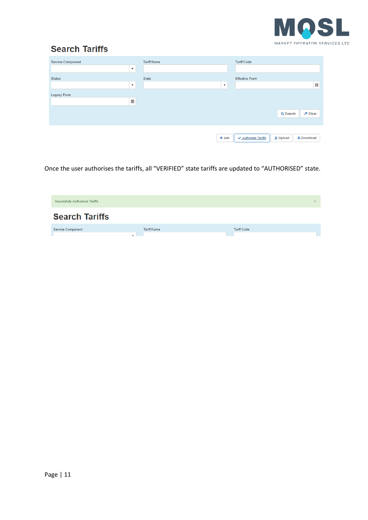

# **Search Tariffs**

| Service Component |                           | <b>Tariff Name</b> |                    | <b>Tariff Code</b>    |              |                   |   |
|-------------------|---------------------------|--------------------|--------------------|-----------------------|--------------|-------------------|---|
|                   | $\boldsymbol{\mathrm{v}}$ |                    |                    |                       |              |                   |   |
| <b>Status</b>     |                           | State              |                    | <b>Effective From</b> |              |                   |   |
|                   | $\boldsymbol{\mathrm{v}}$ |                    | $\pmb{\mathrm{v}}$ |                       |              |                   | 圜 |
| Legacy From       |                           |                    |                    |                       |              |                   |   |
|                   | 圓                         |                    |                    |                       |              |                   |   |
|                   |                           |                    |                    |                       | Q Search     | $Z$ Clear         |   |
|                   |                           |                    | $+$ Add            | ✔ Authorise Tariffs   | $\pm$ Upload | <b>上</b> Download |   |

Once the user authorises the tariffs, all "VERIFIED" state tariffs are updated to "AUTHORISED" state.

| <b>Succesfully Authorised Tariffs</b> |                    | $\times$           |
|---------------------------------------|--------------------|--------------------|
| <b>Search Tariffs</b>                 |                    |                    |
| Service Component                     | <b>Tariff Name</b> | <b>Tariff Code</b> |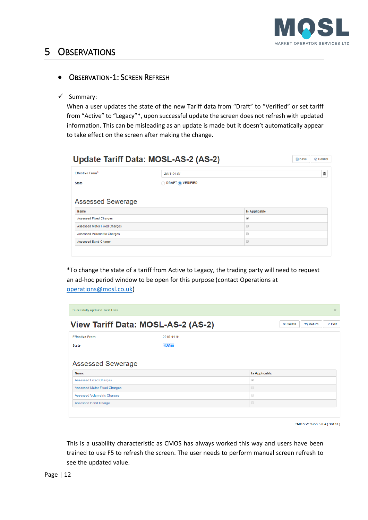

# <span id="page-11-0"></span>5 OBSERVATIONS

# <span id="page-11-1"></span>• OBSERVATION-1: SCREEN REFRESH

✓ Summary:

When a user updates the state of the new Tariff data from "Draft" to "Verified" or set tariff from "Active" to "Legacy"\*, upon successful update the screen does not refresh with updated information. This can be misleading as an update is made but it doesn't automatically appear to take effect on the screen after making the change.

| <b>Effective From*</b>                                        | 2019-04-01         |                      |  |  |  |
|---------------------------------------------------------------|--------------------|----------------------|--|--|--|
| <b>State</b>                                                  | O DRAFT O VERIFIED |                      |  |  |  |
|                                                               |                    |                      |  |  |  |
| <b>Assessed Sewerage</b>                                      |                    |                      |  |  |  |
|                                                               |                    | <b>Is Applicable</b> |  |  |  |
|                                                               |                    | ø                    |  |  |  |
| <b>Assessed Fixed Charges</b><br>Assessed Meter Fixed Charges |                    | ⊟                    |  |  |  |
| Name<br><b>Assessed Volumetric Charges</b>                    |                    | $\qquad \qquad \Box$ |  |  |  |

\*To change the state of a tariff from Active to Legacy, the trading party will need to request an ad-hoc period window to be open for this purpose (contact Operations at [operations@mosl.co.uk\)](mailto:operations@mosl.co.uk)

| Succesfully updated Tariff Data<br>$\times$                                          |              |                      |  |  |  |  |
|--------------------------------------------------------------------------------------|--------------|----------------------|--|--|--|--|
| View Tariff Data: MOSL-AS-2 (AS-2)<br><b>B</b> Edit<br><b>x</b> Delete<br>$A$ Return |              |                      |  |  |  |  |
| <b>Effective From</b>                                                                |              |                      |  |  |  |  |
| <b>State</b>                                                                         | <b>DRAFT</b> |                      |  |  |  |  |
|                                                                                      |              |                      |  |  |  |  |
| <b>Assessed Sewerage</b><br><b>Name</b>                                              |              | <b>Is Applicable</b> |  |  |  |  |
| <b>Assessed Fixed Charges</b>                                                        |              | $\sqrt{2}$           |  |  |  |  |
| <b>Assessed Meter Fixed Charges</b>                                                  |              | $\qquad \qquad \Box$ |  |  |  |  |
| <b>Assessed Volumetric Charges</b>                                                   |              | $\Box$               |  |  |  |  |

CMOS Version 5.0.4 (36132)

This is a usability characteristic as CMOS has always worked this way and users have been trained to use F5 to refresh the screen. The user needs to perform manual screen refresh to see the updated value.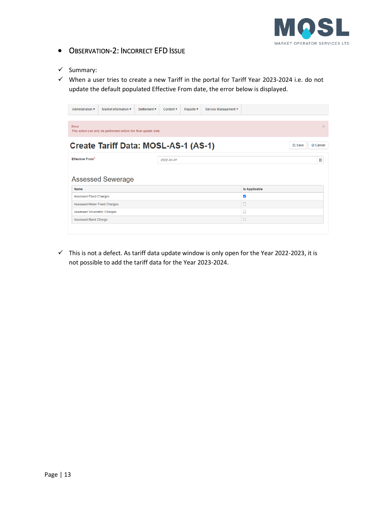

# <span id="page-12-0"></span>• OBSERVATION-2: INCORRECT EFD ISSUE

✓ Summary:

✓ When a user tries to create a new Tariff in the portal for Tariff Year 2023-2024 i.e. do not update the default populated Effective From date, the error below is displayed.

| Administration v                                                                      | Market information       | Settlement v | Content v  | Reports <b>v</b> | Service Management v |                      |   |
|---------------------------------------------------------------------------------------|--------------------------|--------------|------------|------------------|----------------------|----------------------|---|
| Error:<br>$\times$<br>This action can only be performed before the final update date. |                          |              |            |                  |                      |                      |   |
| Create Tariff Data: MOSL-AS-1 (AS-1)<br><b>图 Save</b><br>⊘ Cancel                     |                          |              |            |                  |                      |                      |   |
| <b>Effective From*</b>                                                                |                          |              | 2022-04-01 |                  |                      |                      | 圖 |
|                                                                                       |                          |              |            |                  |                      |                      |   |
| <b>Name</b>                                                                           | <b>Assessed Sewerage</b> |              |            |                  |                      | <b>Is Applicable</b> |   |
| <b>Assessed Fixed Charges</b>                                                         |                          |              |            |                  |                      | $\blacktriangledown$ |   |
| <b>Assessed Meter Fixed Charges</b>                                                   |                          |              |            |                  |                      |                      |   |
| <b>Assessed Volumetric Charges</b>                                                    |                          |              |            |                  |                      |                      |   |

 $\checkmark$  This is not a defect. As tariff data update window is only open for the Year 2022-2023, it is not possible to add the tariff data for the Year 2023-2024.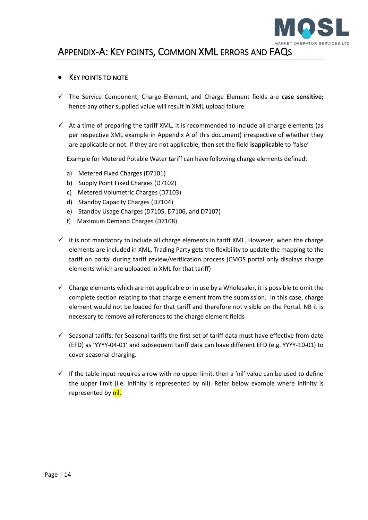

# <span id="page-13-0"></span>APPENDIX-A: KEY POINTS, COMMON XML ERRORS AND FAQS

### <span id="page-13-1"></span>**KEY POINTS TO NOTE**

- ✓ The Service Component, Charge Element, and Charge Element fields are **case sensitive;** hence any other supplied value will result in XML upload failure.
- $\checkmark$  At a time of preparing the tariff XML, it is recommended to include all charge elements (as per respective XML example in Appendix A of this document) irrespective of whether they are applicable or not. If they are not applicable, then set the field **isapplicable** to 'false'

Example for Metered Potable Water tariff can have following charge elements defined;

- a) Metered Fixed Charges (D7101)
- b) Supply Point Fixed Charges (D7102)
- c) Metered Volumetric Charges (D7103)
- d) Standby Capacity Charges (D7104)
- e) Standby Usage Charges (D7105, D7106, and D7107)
- f) Maximum Demand Charges (D7108)
- $\checkmark$  It is not mandatory to include all charge elements in tariff XML. However, when the charge elements are included in XML, Trading Party gets the flexibility to update the mapping to the tariff on portal during tariff review/verification process (CMOS portal only displays charge elements which are uploaded in XML for that tariff)
- $\checkmark$  Charge elements which are not applicable or in use by a Wholesaler, it is possible to omit the complete section relating to that charge element from the submission. In this case, charge element would not be loaded for that tariff and therefore not visible on the Portal. NB it is necessary to remove all references to the charge element fields
- $\checkmark$  Seasonal tariffs: for Seasonal tariffs the first set of tariff data must have effective from date (EFD) as 'YYYY-04-01' and subsequent tariff data can have different EFD (e.g. YYYY-10-01) to cover seasonal charging.
- $\checkmark$  If the table input requires a row with no upper limit, then a 'nil' value can be used to define the upper limit (i.e. infinity is represented by nil). Refer below example where Infinity is represented by nil.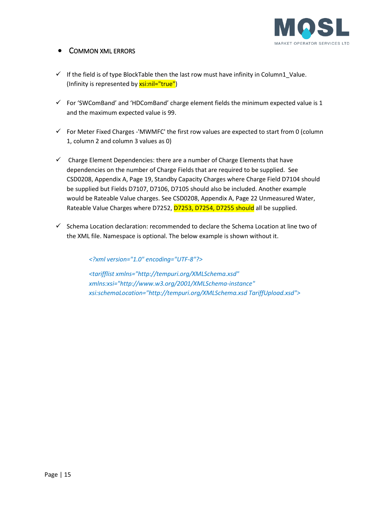

## <span id="page-14-0"></span>**COMMON XML ERRORS**

- $\checkmark$  If the field is of type BlockTable then the last row must have infinity in Column1\_Value. (Infinity is represented by xsi:nil="true")
- $\checkmark$  For 'SWComBand' and 'HDComBand' charge element fields the minimum expected value is 1 and the maximum expected value is 99.
- $\checkmark$  For Meter Fixed Charges -'MWMFC' the first row values are expected to start from 0 (column 1, column 2 and column 3 values as 0)
- $\checkmark$  Charge Element Dependencies: there are a number of Charge Elements that have dependencies on the number of Charge Fields that are required to be supplied. See CSD0208, Appendix A, Page 19, Standby Capacity Charges where Charge Field D7104 should be supplied but Fields D7107, D7106, D7105 should also be included. Another example would be Rateable Value charges. See CSD0208, Appendix A, Page 22 Unmeasured Water, Rateable Value Charges where D7252, D7253, D7254, D7255 should all be supplied.
- $\checkmark$  Schema Location declaration: recommended to declare the Schema Location at line two of the XML file. Namespace is optional. The below example is shown without it.

*<?xml version="1.0" encoding="UTF-8"?>*

*<tarifflist xmlns="http://tempuri.org/XMLSchema.xsd" xmlns:xsi="http://www.w3.org/2001/XMLSchema-instance" xsi:schemaLocation="http://tempuri.org/XMLSchema.xsd TariffUpload.xsd">*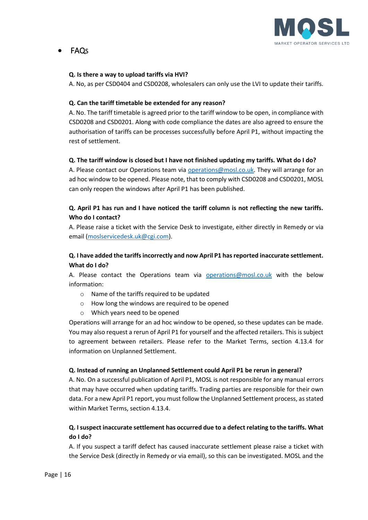

# <span id="page-15-0"></span>• FAQS

### **Q. Is there a way to upload tariffs via HVI?**

A. No, as per CSD0404 and CSD0208, wholesalers can only use the LVI to update their tariffs.

### **Q. Can the tariff timetable be extended for any reason?**

A. No. The tariff timetable is agreed prior to the tariff window to be open, in compliance with CSD0208 and CSD0201. Along with code compliance the dates are also agreed to ensure the authorisation of tariffs can be processes successfully before April P1, without impacting the rest of settlement.

### **Q. The tariff window is closed but I have not finished updating my tariffs. What do I do?**

A. Please contact our Operations team via [operations@mosl.co.uk.](mailto:operations@mosl.co.uk) They will arrange for an ad hoc window to be opened. Please note, that to comply with CSD0208 and CSD0201, MOSL can only reopen the windows after April P1 has been published.

## **Q. April P1 has run and I have noticed the tariff column is not reflecting the new tariffs. Who do I contact?**

A. Please raise a ticket with the Service Desk to investigate, either directly in Remedy or via email [\(moslservicedesk.uk@cgi.com\)](mailto:moslservicedesk.uk@cgi.com).

## **Q. I have added the tariffs incorrectly and now April P1 has reported inaccurate settlement. What do I do?**

A. Please contact the Operations team via [operations@mosl.co.uk](mailto:operations@mosl.co.uk) with the below information:

- o Name of the tariffs required to be updated
- o How long the windows are required to be opened
- o Which years need to be opened

Operations will arrange for an ad hoc window to be opened, so these updates can be made. You may also request a rerun of April P1 for yourself and the affected retailers. This is subject to agreement between retailers. Please refer to the Market Terms, section 4.13.4 for information on Unplanned Settlement.

#### **Q. Instead of running an Unplanned Settlement could April P1 be rerun in general?**

A. No. On a successful publication of April P1, MOSL is not responsible for any manual errors that may have occurred when updating tariffs. Trading parties are responsible for their own data. For a new April P1 report, you must follow the Unplanned Settlement process, as stated within Market Terms, section 4.13.4.

### **Q. I suspect inaccurate settlement has occurred due to a defect relating to the tariffs. What do I do?**

A. If you suspect a tariff defect has caused inaccurate settlement please raise a ticket with the Service Desk (directly in Remedy or via email), so this can be investigated. MOSL and the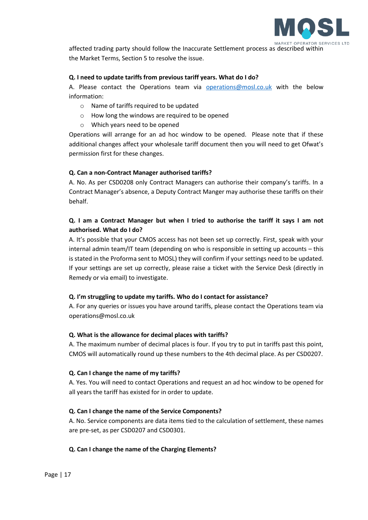

affected trading party should follow the Inaccurate Settlement process as described within the Market Terms, Section 5 to resolve the issue.

#### **Q. I need to update tariffs from previous tariff years. What do I do?**

A. Please contact the Operations team via [operations@mosl.co.uk](mailto:operations@mosl.co.uk) with the below information:

- o Name of tariffs required to be updated
- o How long the windows are required to be opened
- o Which years need to be opened

Operations will arrange for an ad hoc window to be opened. Please note that if these additional changes affect your wholesale tariff document then you will need to get Ofwat's permission first for these changes.

#### **Q. Can a non-Contract Manager authorised tariffs?**

A. No. As per CSD0208 only Contract Managers can authorise their company's tariffs. In a Contract Manager's absence, a Deputy Contract Manger may authorise these tariffs on their behalf.

### **Q. I am a Contract Manager but when I tried to authorise the tariff it says I am not authorised. What do I do?**

A. It's possible that your CMOS access has not been set up correctly. First, speak with your internal admin team/IT team (depending on who is responsible in setting up accounts – this is stated in the Proforma sent to MOSL) they will confirm if your settings need to be updated. If your settings are set up correctly, please raise a ticket with the Service Desk (directly in Remedy or via email) to investigate.

#### **Q. I'm struggling to update my tariffs. Who do I contact for assistance?**

A. For any queries or issues you have around tariffs, please contact the Operations team via [operations@mosl.co.uk](mailto:operations@mosl.co.uk)

#### **Q. What is the allowance for decimal places with tariffs?**

A. The maximum number of decimal places is four. If you try to put in tariffs past this point, CMOS will automatically round up these numbers to the 4th decimal place. As per CSD0207.

#### **Q. Can I change the name of my tariffs?**

A. Yes. You will need to contact Operations and request an ad hoc window to be opened for all years the tariff has existed for in order to update.

#### **Q. Can I change the name of the Service Components?**

A. No. Service components are data items tied to the calculation of settlement, these names are pre-set, as per CSD0207 and CSD0301.

### **Q. Can I change the name of the Charging Elements?**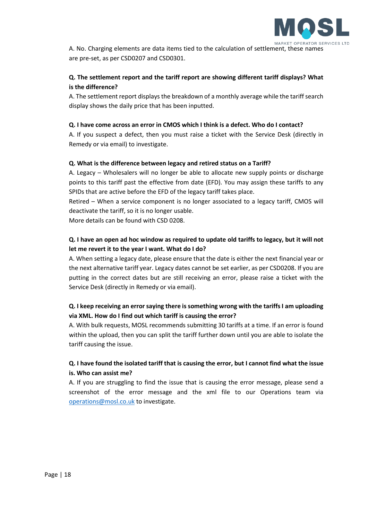

A. No. Charging elements are data items tied to the calculation of settlement, these names are pre-set, as per CSD0207 and CSD0301.

## **Q. The settlement report and the tariff report are showing different tariff displays? What is the difference?**

A. The settlement report displays the breakdown of a monthly average while the tariff search display shows the daily price that has been inputted.

### **Q. I have come across an error in CMOS which I think is a defect. Who do I contact?**

A. If you suspect a defect, then you must raise a ticket with the Service Desk (directly in Remedy or via email) to investigate.

### **Q. What is the difference between legacy and retired status on a Tariff?**

A. Legacy – Wholesalers will no longer be able to allocate new supply points or discharge points to this tariff past the effective from date (EFD). You may assign these tariffs to any SPIDs that are active before the EFD of the legacy tariff takes place.

Retired – When a service component is no longer associated to a legacy tariff, CMOS will deactivate the tariff, so it is no longer usable.

More details can be found with CSD 0208.

## **Q. I have an open ad hoc window as required to update old tariffs to legacy, but it will not let me revert it to the year I want. What do I do?**

A. When setting a legacy date, please ensure that the date is either the next financial year or the next alternative tariff year. Legacy dates cannot be set earlier, as per CSD0208. If you are putting in the correct dates but are still receiving an error, please raise a ticket with the Service Desk (directly in Remedy or via email).

## **Q. I keep receiving an error saying there is something wrong with the tariffs I am uploading via XML. How do I find out which tariff is causing the error?**

A. With bulk requests, MOSL recommends submitting 30 tariffs at a time. If an error is found within the upload, then you can split the tariff further down until you are able to isolate the tariff causing the issue.

### **Q. I have found the isolated tariff that is causing the error, but I cannot find what the issue is. Who can assist me?**

A. If you are struggling to find the issue that is causing the error message, please send a screenshot of the error message and the xml file to our Operations team via [operations@mosl.co.uk](mailto:operations@mosl.co.uk) to investigate.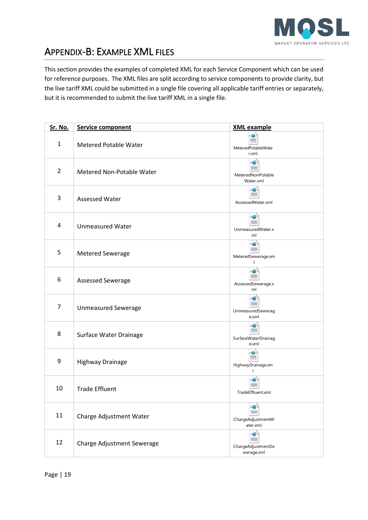

# <span id="page-18-0"></span>APPENDIX-B: EXAMPLE XML FILES

This section provides the examples of completed XML for each Service Component which can be used for reference purposes. The XML files are split according to service components to provide clarity, but the live tariff XML could be submitted in a single file covering all applicable tariff entries or separately, but it is recommended to submit the live tariff XML in a single file.

| <b>Sr. No.</b> | <b>Service component</b>     | <b>XML example</b>                                                         |
|----------------|------------------------------|----------------------------------------------------------------------------|
| 1              | <b>Metered Potable Water</b> | <0><br>MeteredPotableWate<br>r.xml                                         |
| $\overline{2}$ | Metered Non-Potable Water    | <€):<br>MeteredNonPotable<br>Water.xml                                     |
| 3              | <b>Assessed Water</b>        | <⊕<br>AssessedWater.xml                                                    |
| 4              | <b>Unmeasured Water</b>      | <⊕`<br>UnmeasuredWater.x<br>ml                                             |
| 5              | <b>Metered Sewerage</b>      | <€)><br>MeteredSewerage.xm                                                 |
| 6              | Assessed Sewerage            | AssessedSewerage.x<br>ml                                                   |
| 7              | <b>Unmeasured Sewerage</b>   | $\left\langle \bigoplus \right\rangle$<br>UnmeasuredSewerag<br>e.xml       |
| 8              | Surface Water Drainage       | SurfaceWaterDrainag<br>e.xml                                               |
| 9              | <b>Highway Drainage</b>      | <⊜><br>HighwayDrainage.xm                                                  |
| 10             | <b>Trade Effluent</b>        | TradeEffluent.xml                                                          |
| 11             | Charge Adjustment Water      | ChargeAdjustmentW<br>ater.xml                                              |
| 12             | Charge Adjustment Sewerage   | $\left\langle \bigoplus \right\rangle$<br>ChargeAdjustmentSe<br>werage.xml |